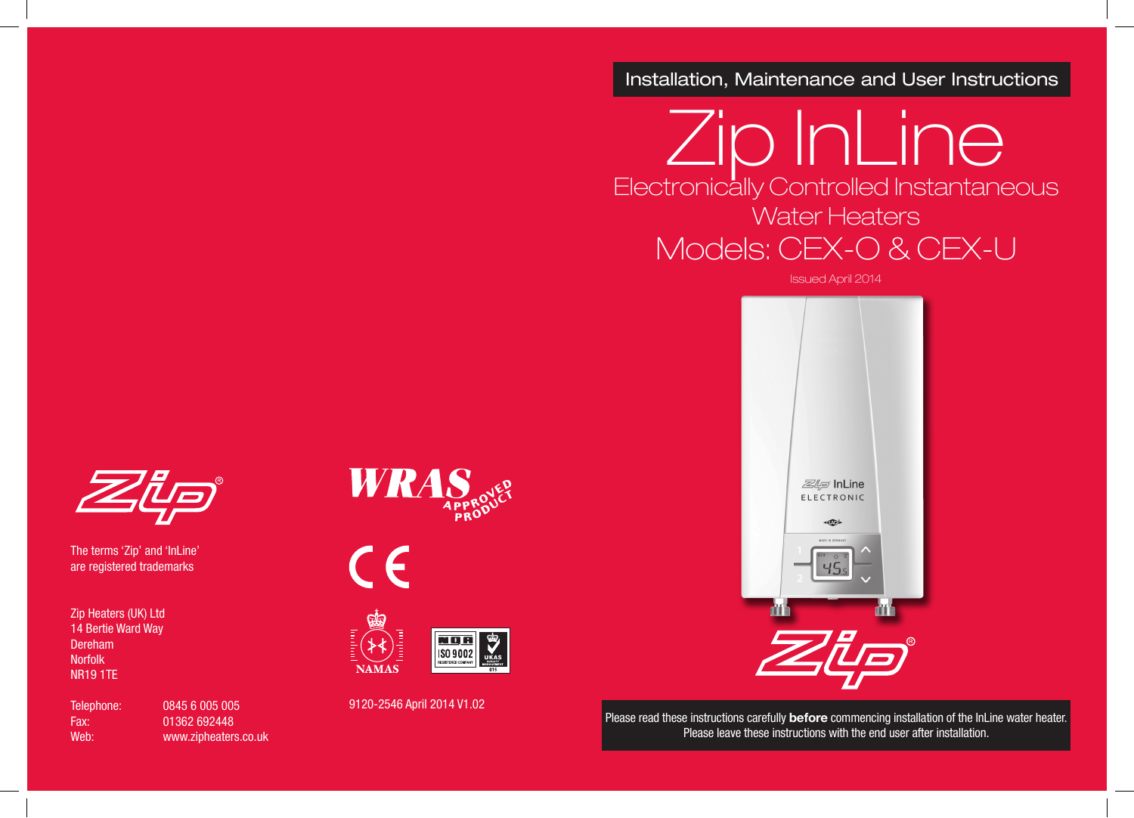Installation, Maintenance and User Instructions

Zip InLine<br>Electronically Controlled Instantaneous Water Heaters Models: CEX-O & CEX-U

Issued April 2014



Please read these instructions carefully **before** commencing installation of the InLine water heater. Please leave these instructions with the end user after installation.



The terms 'Zip' and 'InLine' are registered trademarks

Zip Heaters (UK) Ltd 14 Bertie Ward Way Dereham **Norfolk** NR19 1TE

Fax: 01362 692448

Telephone: 0845 6 005 005 Web: www.zipheaters.co.uk





9120-2546 April 2014 V1.02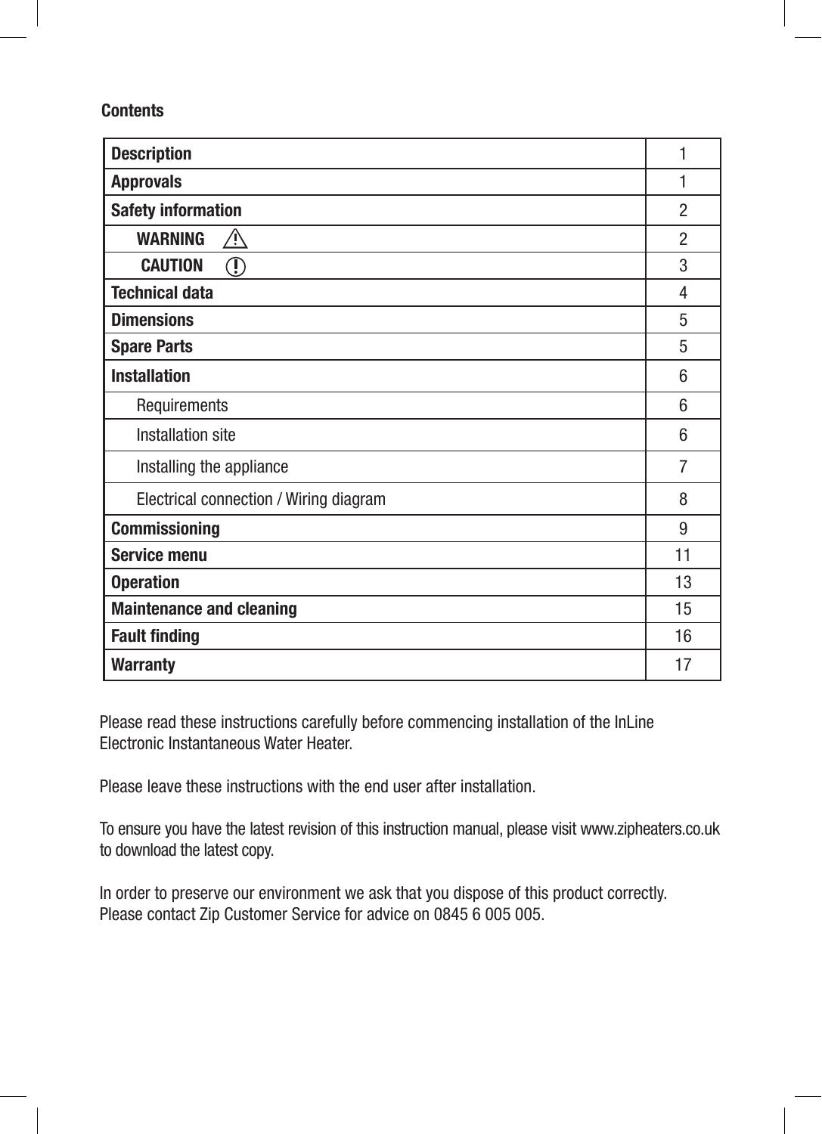#### **Contents**

| <b>Description</b>                          |                |  |  |
|---------------------------------------------|----------------|--|--|
| <b>Approvals</b>                            |                |  |  |
| <b>Safety information</b>                   |                |  |  |
| <b>WARNING</b><br>Ņ                         | $\overline{2}$ |  |  |
| <b>CAUTION</b><br>$\textcircled{\small{1}}$ |                |  |  |
| <b>Technical data</b>                       | 4              |  |  |
| <b>Dimensions</b>                           |                |  |  |
| <b>Spare Parts</b>                          |                |  |  |
| <b>Installation</b>                         |                |  |  |
| Requirements                                |                |  |  |
| Installation site                           |                |  |  |
| Installing the appliance                    |                |  |  |
| Electrical connection / Wiring diagram      |                |  |  |
| <b>Commissioning</b>                        |                |  |  |
| <b>Service menu</b>                         |                |  |  |
| <b>Operation</b>                            |                |  |  |
| <b>Maintenance and cleaning</b>             |                |  |  |
| <b>Fault finding</b>                        |                |  |  |
| <b>Warranty</b>                             |                |  |  |

Please read these instructions carefully before commencing installation of the InLine Electronic Instantaneous Water Heater.

Please leave these instructions with the end user after installation.

To ensure you have the latest revision of this instruction manual, please visit www.zipheaters.co.uk to download the latest copy.

In order to preserve our environment we ask that you dispose of this product correctly. Please contact Zip Customer Service for advice on 0845 6 005 005.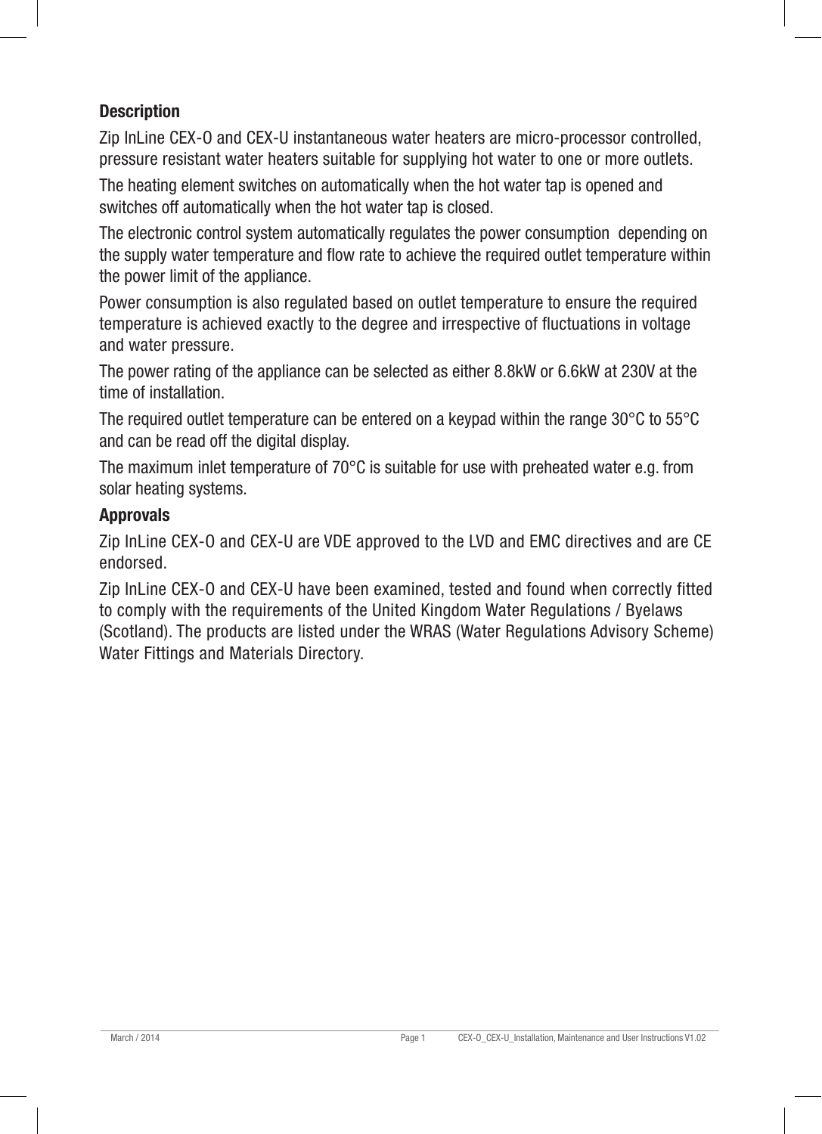# **Description**

Zip InLine CEX-O and CEX-U instantaneous water heaters are micro-processor controlled, pressure resistant water heaters suitable for supplying hot water to one or more outlets.

The heating element switches on automatically when the hot water tap is opened and switches off automatically when the hot water tap is closed.

The electronic control system automatically regulates the power consumption depending on the supply water temperature and flow rate to achieve the required outlet temperature within the power limit of the appliance.

Power consumption is also regulated based on outlet temperature to ensure the required temperature is achieved exactly to the degree and irrespective of fluctuations in voltage and water pressure.

The power rating of the appliance can be selected as either 8.8kW or 6.6kW at 230V at the time of installation.

The required outlet temperature can be entered on a keypad within the range 30°C to 55°C and can be read off the digital display.

The maximum inlet temperature of 70°C is suitable for use with preheated water e.g. from solar heating systems.

# Approvals

Zip InLine CEX-O and CEX-U are VDE approved to the LVD and EMC directives and are CE endorsed.

Zip InLine CEX-O and CEX-U have been examined, tested and found when correctly fitted to comply with the requirements of the United Kingdom Water Regulations / Byelaws (Scotland). The products are listed under the WRAS (Water Regulations Advisory Scheme) Water Fittings and Materials Directory.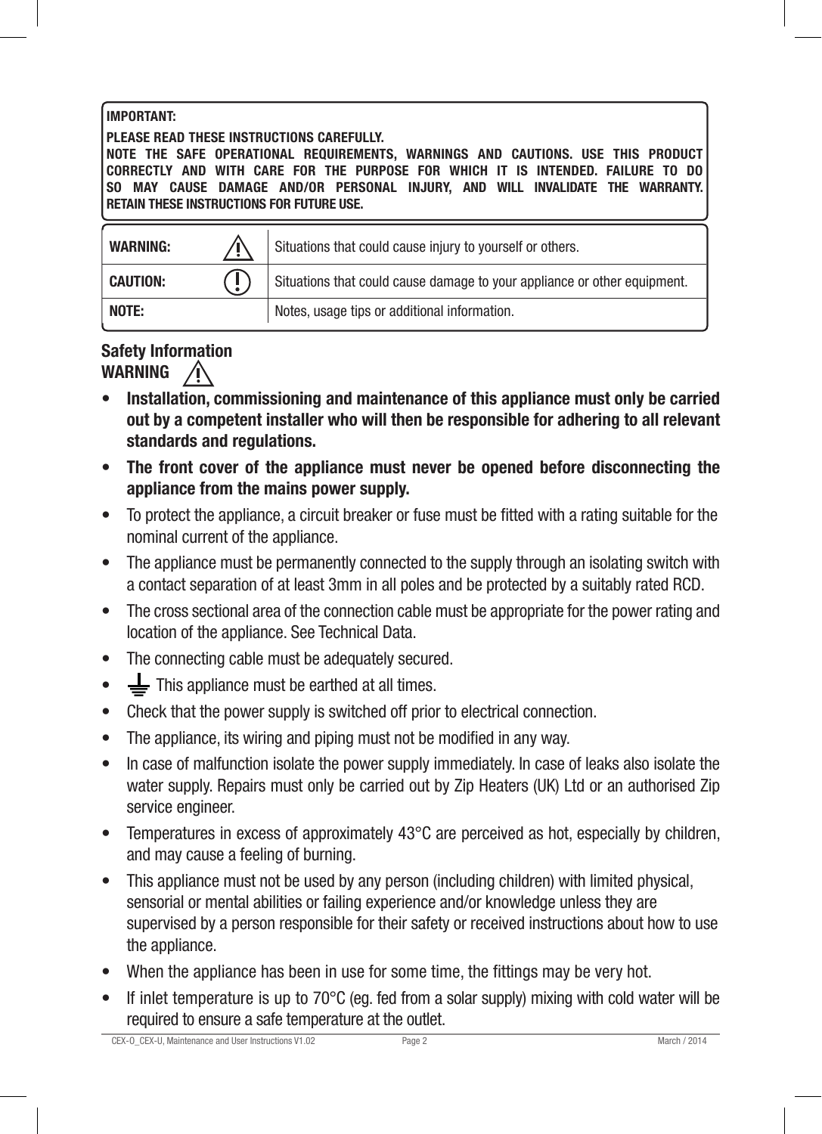IMPORTANT:

PLEASE READ THESE INSTRUCTIONS CAREFULLY.

NOTE THE SAFE OPERATIONAL REQUIREMENTS, WARNINGS AND CAUTIONS. USE THIS PRODUCT CORRECTLY AND WITH CARE FOR THE PURPOSE FOR WHICH IT IS INTENDED. FAILURE TO DO SO MAY CAUSE DAMAGE AND/OR PERSONAL INJURY, AND WILL INVALIDATE THE WARRANTY. RETAIN THESE INSTRUCTIONS FOR FUTURE USE.

| <b>WARNING:</b> |   | Situations that could cause injury to yourself or others.                |
|-----------------|---|--------------------------------------------------------------------------|
| <b>CAUTION:</b> | Ţ | Situations that could cause damage to your appliance or other equipment. |
| NOTE:           |   | Notes, usage tips or additional information.                             |

# Safety Information WARNING

- Installation, commissioning and maintenance of this appliance must only be carried out by a competent installer who will then be responsible for adhering to all relevant standards and regulations.
- The front cover of the appliance must never be opened before disconnecting the appliance from the mains power supply.
- To protect the appliance, a circuit breaker or fuse must be fitted with a rating suitable for the nominal current of the appliance.
- The appliance must be permanently connected to the supply through an isolating switch with a contact separation of at least 3mm in all poles and be protected by a suitably rated RCD.
- The cross sectional area of the connection cable must be appropriate for the power rating and location of the appliance. See Technical Data.
- The connecting cable must be adequately secured.
- $\cdot$   $\equiv$  This appliance must be earthed at all times.
- Check that the power supply is switched off prior to electrical connection.
- The appliance, its wiring and piping must not be modified in any way.
- In case of malfunction isolate the power supply immediately. In case of leaks also isolate the water supply. Repairs must only be carried out by Zip Heaters (UK) Ltd or an authorised Zip service engineer.
- Temperatures in excess of approximately 43<sup>o</sup>C are perceived as hot, especially by children, and may cause a feeling of burning.
- This appliance must not be used by any person (including children) with limited physical, sensorial or mental abilities or failing experience and/or knowledge unless they are supervised by a person responsible for their safety or received instructions about how to use the appliance.
- When the appliance has been in use for some time, the fittings may be very hot.
- If inlet temperature is up to  $70^{\circ}$ C (eg. fed from a solar supply) mixing with cold water will be required to ensure a safe temperature at the outlet.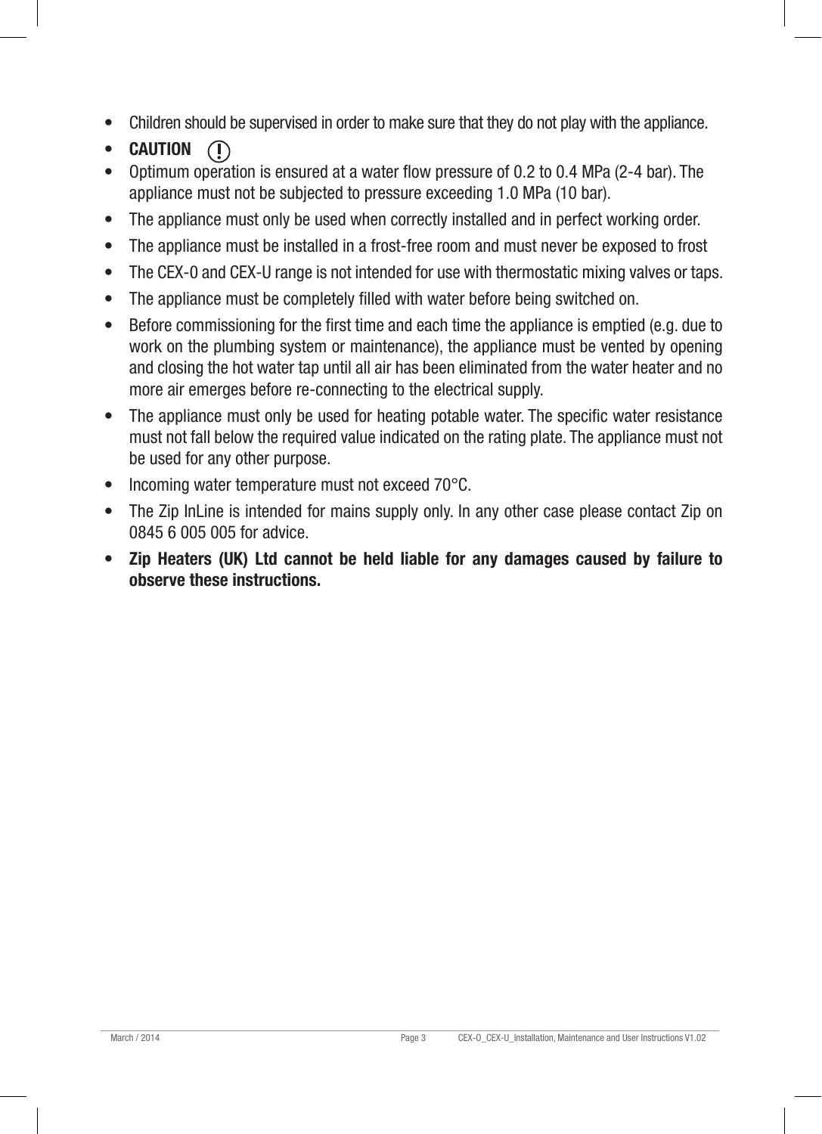- Children should be supervised in order to make sure that they do not play with the appliance.
- $\bullet$  CAUTION  $\circ$
- Optimum operation is ensured at a water flow pressure of 0.2 to 0.4 MPa (2-4 bar). The appliance must not be subjected to pressure exceeding 1.0 MPa (10 bar).
- The appliance must only be used when correctly installed and in perfect working order.
- The appliance must be installed in a frost-free room and must never be exposed to frost
- The CEX-0 and CEX-U range is not intended for use with thermostatic mixing valves or taps.
- The appliance must be completely filled with water before being switched on.
- Before commissioning for the first time and each time the appliance is emptied (e.g. due to work on the plumbing system or maintenance), the appliance must be vented by opening and closing the hot water tap until all air has been eliminated from the water heater and no more air emerges before re-connecting to the electrical supply.
- The appliance must only be used for heating potable water. The specific water resistance must not fall below the required value indicated on the rating plate. The appliance must not be used for any other purpose.
- Incoming water temperature must not exceed 70°C.
- The Zip InLine is intended for mains supply only. In any other case please contact Zip on 0845 6 005 005 for advice.
- Zip Heaters (UK) Ltd cannot be held liable for any damages caused by failure to observe these instructions.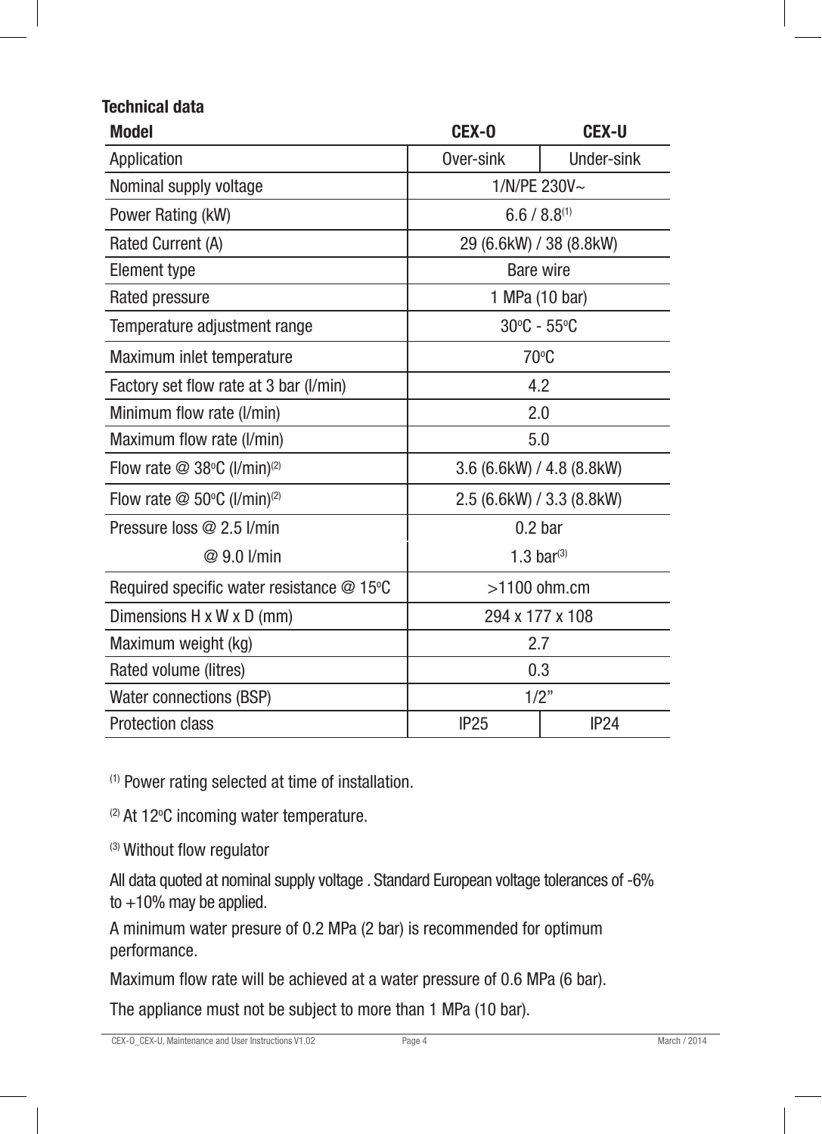### Technical data

| <b>Model</b>                                 | CEX-0                     | <b>CEX-U</b> |
|----------------------------------------------|---------------------------|--------------|
| Application                                  | Over-sink<br>Under-sink   |              |
| Nominal supply voltage                       | $1/N/PE$ 230V $\sim$      |              |
| Power Rating (kW)                            | $6.6 / 8.8^{(1)}$         |              |
| Rated Current (A)                            | 29 (6.6kW) / 38 (8.8kW)   |              |
| Element type                                 | Bare wire                 |              |
| Rated pressure                               | 1 MPa (10 bar)            |              |
| Temperature adjustment range                 | 30°C - 55°C               |              |
| Maximum inlet temperature                    | 70 <sup>°</sup> C         |              |
| Factory set flow rate at 3 bar (I/min)       | 4.2                       |              |
| Minimum flow rate (I/min)                    | 2.0                       |              |
| Maximum flow rate (I/min)                    | 5.0                       |              |
| Flow rate $@$ 38°C (l/min) <sup>(2)</sup>    | 3.6 (6.6kW) / 4.8 (8.8kW) |              |
| Flow rate $@$ 50 $°C$ (l/min) <sup>(2)</sup> | 2.5 (6.6kW) / 3.3 (8.8kW) |              |
| Pressure loss @ 2.5 l/min                    | $0.2b$ ar                 |              |
| @ 9.0 l/min                                  | 1.3 $bar(3)$              |              |
| Required specific water resistance @ 15°C    | $>1100$ ohm.cm            |              |
| Dimensions H x W x D (mm)                    | 294 x 177 x 108           |              |
| Maximum weight (kg)                          | 2.7                       |              |
| Rated volume (litres)                        | 0.3                       |              |
| Water connections (BSP)                      | 1/2"                      |              |
| <b>Protection class</b><br>IP <sub>25</sub>  |                           | IP24         |

(1) Power rating selected at time of installation.

 $^{(2)}$  At 12 $^{\circ}$ C incoming water temperature.

(3) Without flow regulator

All data quoted at nominal supply voltage . Standard European voltage tolerances of -6% to +10% may be applied.

A minimum water presure of 0.2 MPa (2 bar) is recommended for optimum performance.

Maximum flow rate will be achieved at a water pressure of 0.6 MPa (6 bar).

The appliance must not be subject to more than 1 MPa (10 bar).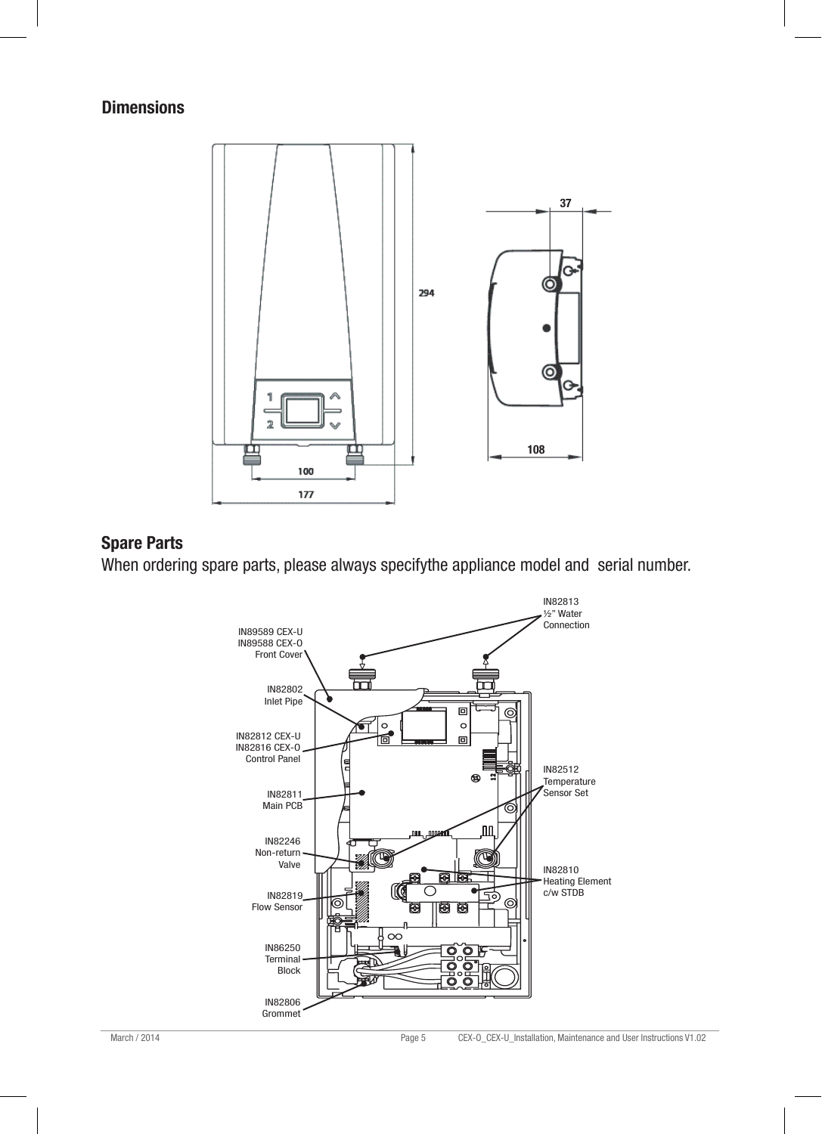## **Dimensions**



# Spare Parts

When ordering spare parts, please always specifythe appliance model and serial number.

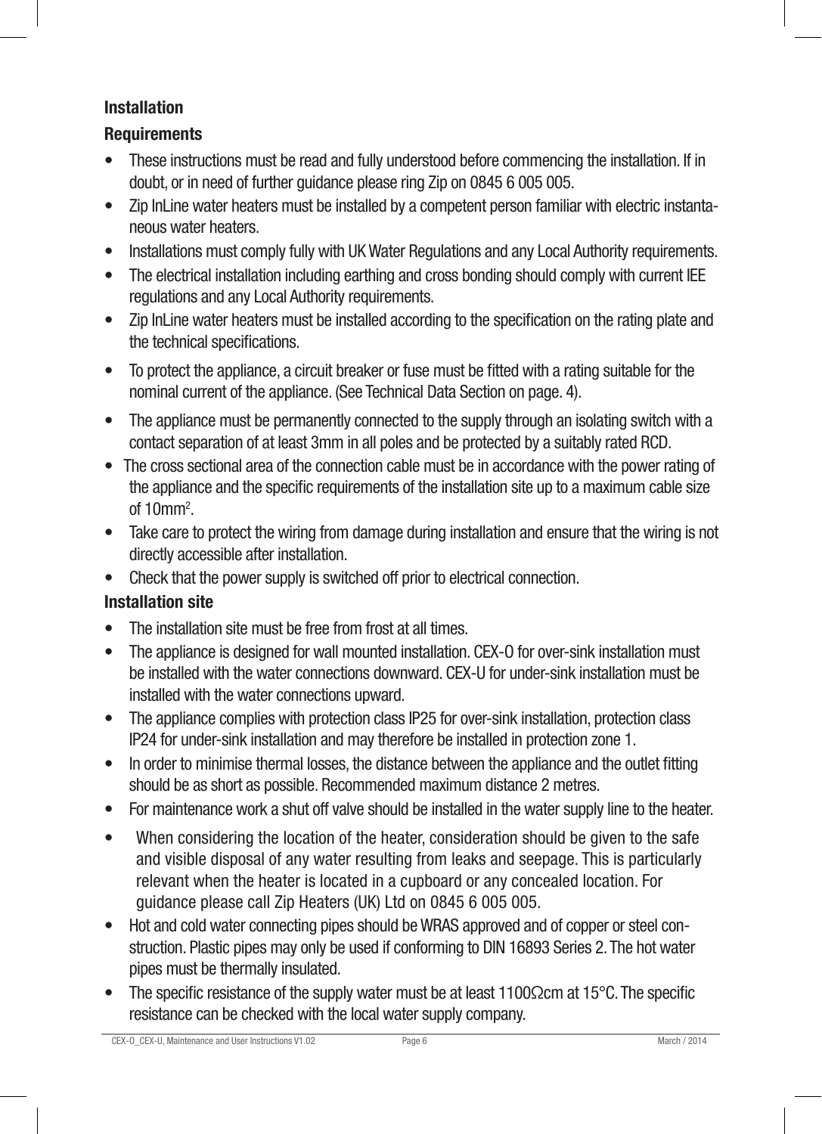# Installation

# **Requirements**

- These instructions must be read and fully understood before commencing the installation. If in doubt, or in need of further guidance please ring Zip on 0845 6 005 005.
- Zip InLine water heaters must be installed by a competent person familiar with electric instantaneous water heaters.
- Installations must comply fully with UK Water Regulations and any Local Authority requirements.
- The electrical installation including earthing and cross bonding should comply with current IEE regulations and any Local Authority requirements.
- Zip InLine water heaters must be installed according to the specification on the rating plate and the technical specifications.
- To protect the appliance, a circuit breaker or fuse must be fitted with a rating suitable for the nominal current of the appliance. (See Technical Data Section on page. 4).
- The appliance must be permanently connected to the supply through an isolating switch with a contact separation of at least 3mm in all poles and be protected by a suitably rated RCD.
- The cross sectional area of the connection cable must be in accordance with the power rating of the appliance and the specific requirements of the installation site up to a maximum cable size of 10mm<sup>2</sup>.
- Take care to protect the wiring from damage during installation and ensure that the wiring is not directly accessible after installation.
- Check that the power supply is switched off prior to electrical connection.

# Installation site

- The installation site must be free from frost at all times
- The appliance is designed for wall mounted installation. CEX-0 for over-sink installation must be installed with the water connections downward. CEX-U for under-sink installation must be installed with the water connections upward.
- The appliance complies with protection class IP25 for over-sink installation, protection class IP24 for under-sink installation and may therefore be installed in protection zone 1.
- In order to minimise thermal losses, the distance between the appliance and the outlet fitting should be as short as possible. Recommended maximum distance 2 metres.
- For maintenance work a shut off valve should be installed in the water supply line to the heater.
- When considering the location of the heater, consideration should be given to the safe and visible disposal of any water resulting from leaks and seepage. This is particularly relevant when the heater is located in a cupboard or any concealed location. For guidance please call Zip Heaters (UK) Ltd on 0845 6 005 005.
- Hot and cold water connecting pipes should be WRAS approved and of copper or steel construction. Plastic pipes may only be used if conforming to DIN 16893 Series 2. The hot water pipes must be thermally insulated.
- The specific resistance of the supply water must be at least 1100Ωcm at 15°C. The specific resistance can be checked with the local water supply company.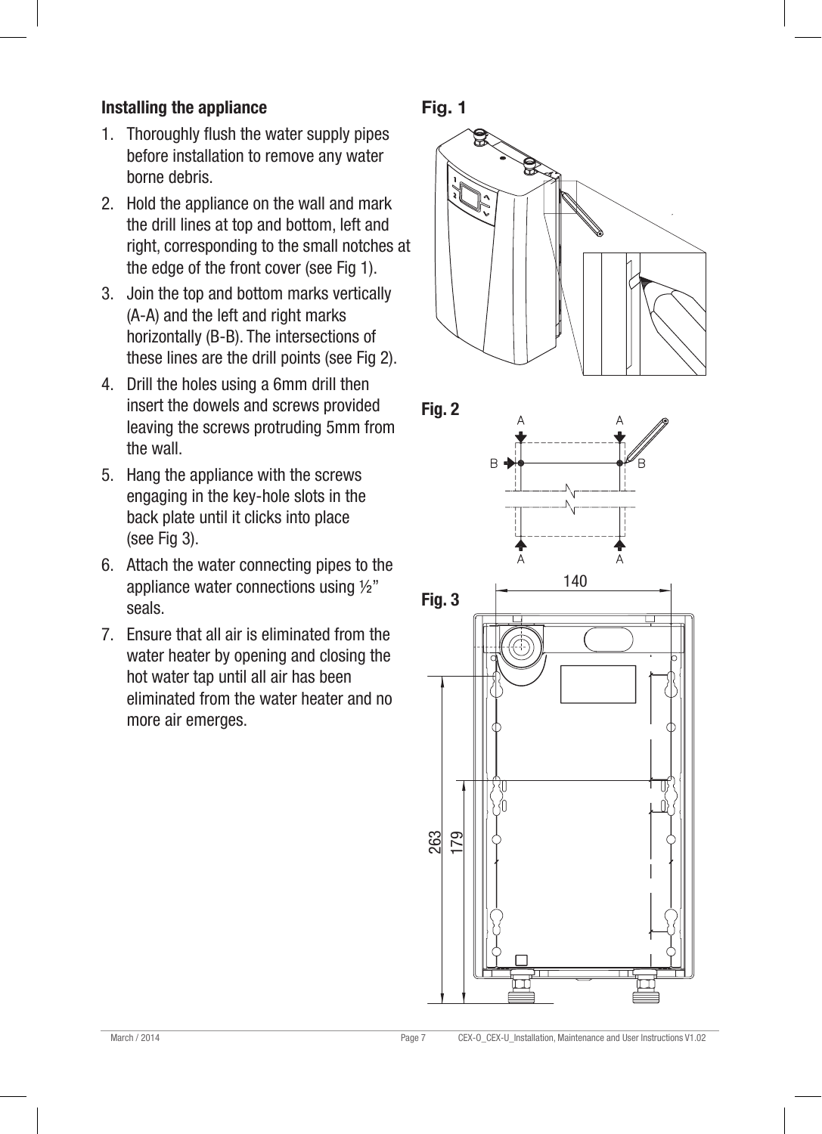### Installing the appliance

- 1. Thoroughly flush the water supply pipes before installation to remove any water borne debris.
- 2. Hold the appliance on the wall and mark the drill lines at top and bottom, left and right, corresponding to the small notches at the edge of the front cover (see Fig 1).
- 3. Join the top and bottom marks vertically (A-A) and the left and right marks horizontally (B-B). The intersections of these lines are the drill points (see Fig 2).
- 4. Drill the holes using a 6mm drill then insert the dowels and screws provided leaving the screws protruding 5mm from the wall.
- 5. Hang the appliance with the screws engaging in the key-hole slots in the back plate until it clicks into place (see Fig 3).
- 6. Attach the water connecting pipes to the appliance water connections using ½" seals.
- 7. Ensure that all air is eliminated from the water heater by opening and closing the hot water tap until all air has been eliminated from the water heater and no more air emerges.





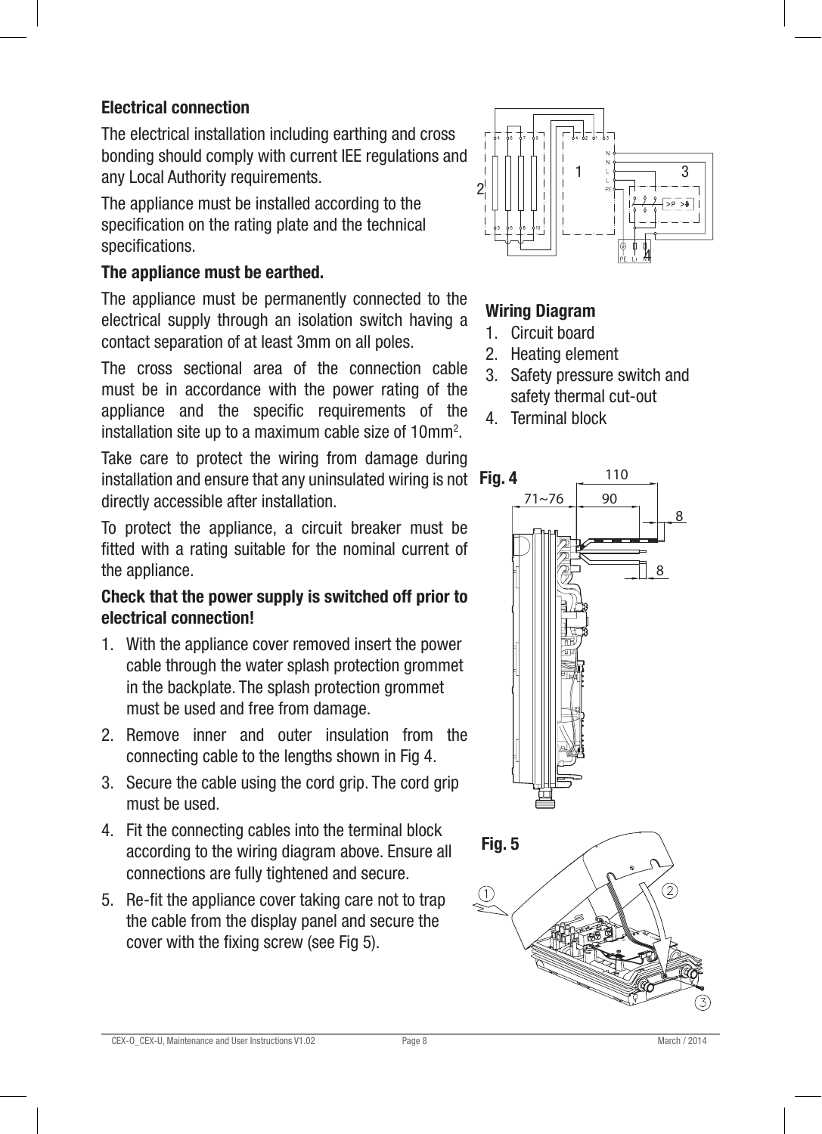# Electrical connection

The electrical installation including earthing and cross bonding should comply with current IEE regulations and any Local Authority requirements.

The appliance must be installed according to the specification on the rating plate and the technical specifications.

# The appliance must be earthed.

The appliance must be permanently connected to the electrical supply through an isolation switch having a contact separation of at least 3mm on all poles.

The cross sectional area of the connection cable must be in accordance with the power rating of the appliance and the specific requirements of the installation site up to a maximum cable size of  $10 \text{mm}^2$ .

Take care to protect the wiring from damage during installation and ensure that any uninsulated wiring is not Fig. 4 directly accessible after installation.

To protect the appliance, a circuit breaker must be fitted with a rating suitable for the nominal current of the appliance.

# Check that the power supply is switched off prior to electrical connection!

- 1. With the appliance cover removed insert the power cable through the water splash protection grommet in the backplate. The splash protection grommet must be used and free from damage.
- 2. Remove inner and outer insulation from the connecting cable to the lengths shown in Fig 4.
- 3. Secure the cable using the cord grip. The cord grip must be used.
- 4. Fit the connecting cables into the terminal block according to the wiring diagram above. Ensure all connections are fully tightened and secure.
- 5. Re-fit the appliance cover taking care not to trap the cable from the display panel and secure the cover with the fixing screw (see Fig 5).



# Wiring Diagram

- 1. Circuit board
- 2. Heating element
- 3. Safety pressure switch and safety thermal cut-out
- 4. Terminal block

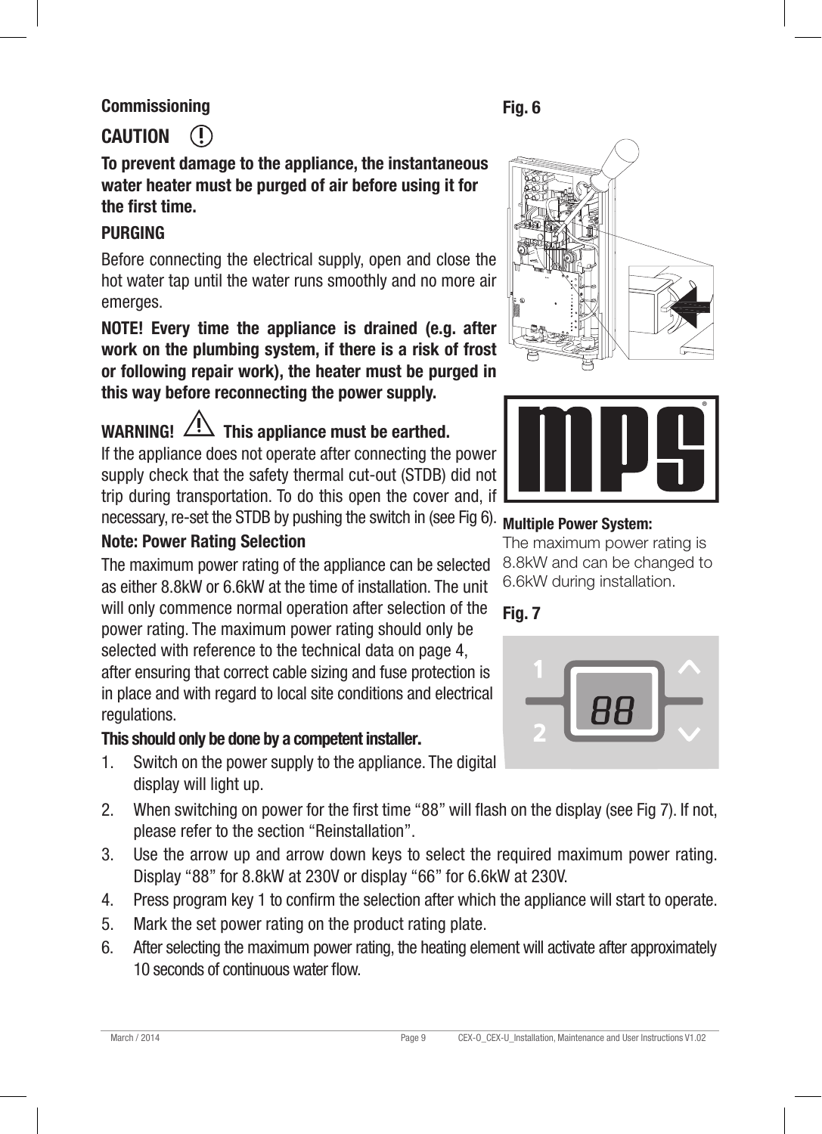# **Commissioning**

# CAUTION

To prevent damage to the appliance, the instantaneous water heater must be purged of air before using it for the first time.

# **PURGING**

Before connecting the electrical supply, open and close the hot water tap until the water runs smoothly and no more air emerges.

NOTE! Every time the appliance is drained (e.g. after work on the plumbing system, if there is a risk of frost or following repair work), the heater must be purged in this way before reconnecting the power supply.

# WARNING!  $\angle \hspace{-.05cm} \cdot \hspace{-.05cm} \cdot \hspace{-.05cm} \cdot$  This appliance must be earthed.

necessary, re-set the STDB by pushing the switch in (see Fig 6). Multiple Power System: If the appliance does not operate after connecting the power supply check that the safety thermal cut-out (STDB) did not trip during transportation. To do this open the cover and, if

# Note: Power Rating Selection

The maximum power rating of the appliance can be selected as either 8.8kW or 6.6kW at the time of installation. The unit will only commence normal operation after selection of the power rating. The maximum power rating should only be selected with reference to the technical data on page 4, after ensuring that correct cable sizing and fuse protection is in place and with regard to local site conditions and electrical regulations.

# This should only be done by a competent installer.

- 1. Switch on the power supply to the appliance. The digital display will light up.
- 2. When switching on power for the first time "88" will flash on the display (see Fig 7). If not, please refer to the section "Reinstallation".
- 3. Use the arrow up and arrow down keys to select the required maximum power rating. Display "88" for 8.8kW at 230V or display "66" for 6.6kW at 230V.
- 4. Press program key 1 to confirm the selection after which the appliance will start to operate.
- 5. Mark the set power rating on the product rating plate.
- 6. After selecting the maximum power rating, the heating element will activate after approximately 10 seconds of continuous water flow.





The maximum power rating is 8.8kW and can be changed to 6.6kW during installation.

# Fig. 7

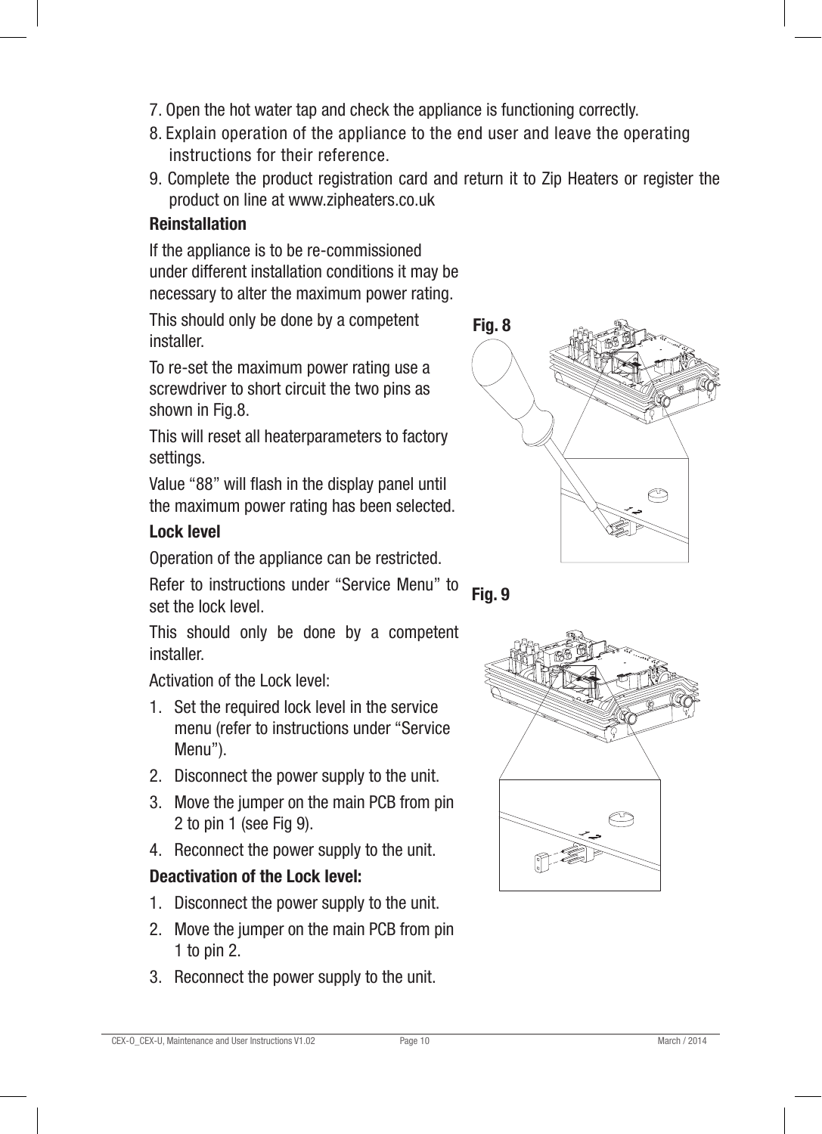- 7. Open the hot water tap and check the appliance is functioning correctly.
- 8. Explain operation of the appliance to the end user and leave the operating instructions for their reference.
- 9. Complete the product registration card and return it to Zip Heaters or register the product on line at www.zipheaters.co.uk

### Reinstallation

If the appliance is to be re-commissioned under different installation conditions it may be necessary to alter the maximum power rating.

This should only be done by a competent installer.

To re-set the maximum power rating use a screwdriver to short circuit the two pins as shown in Fig.8.

This will reset all heaterparameters to factory settings.

Value "88" will flash in the display panel until the maximum power rating has been selected.

### Lock level

Operation of the appliance can be restricted.

Refer to instructions under "Service Menu" to set the lock level.

This should only be done by a competent installer.

Activation of the Lock level:

- 1. Set the required lock level in the service menu (refer to instructions under "Service Menu").
- 2. Disconnect the power supply to the unit.
- 3. Move the jumper on the main PCB from pin 2 to pin 1 (see Fig 9).
- 4. Reconnect the power supply to the unit.

# Deactivation of the Lock level:

- 1. Disconnect the power supply to the unit.
- 2. Move the jumper on the main PCB from pin 1 to pin 2.
- 3. Reconnect the power supply to the unit.





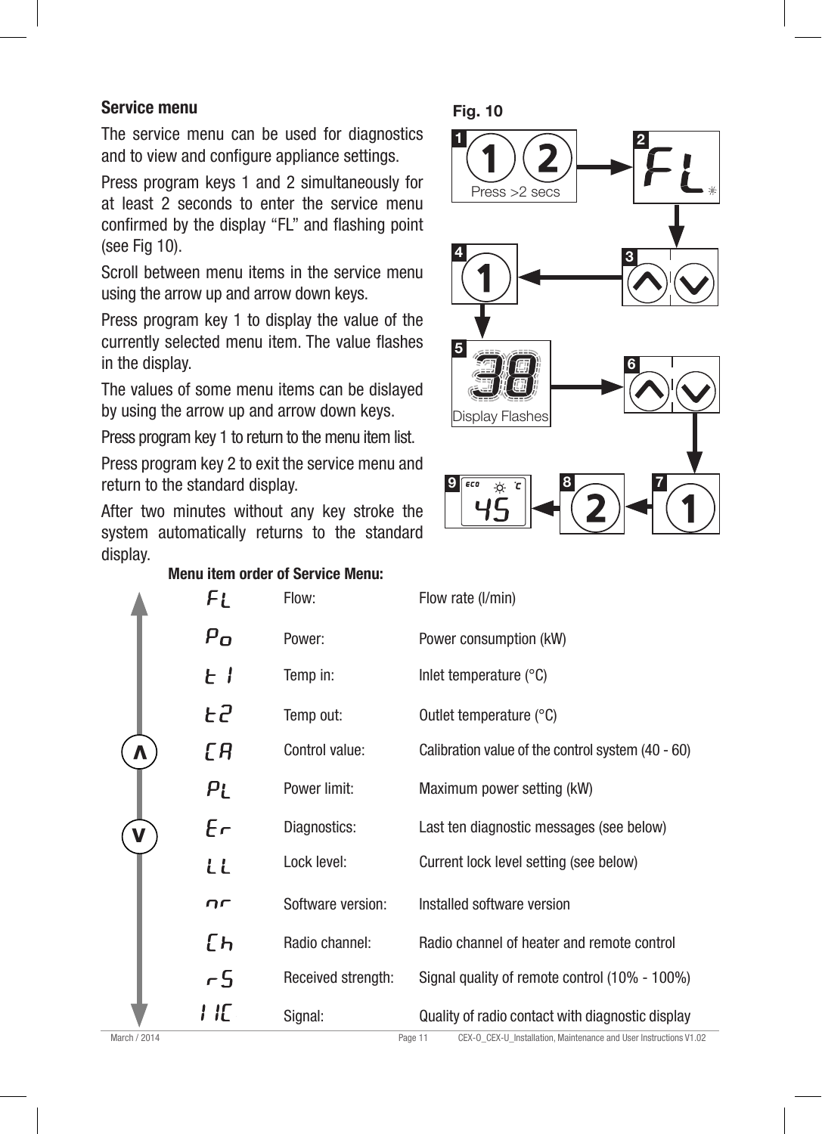#### Service menu

The service menu can be used for diagnostics and to view and configure appliance settings.

Press program keys 1 and 2 simultaneously for at least 2 seconds to enter the service menu confirmed by the display "FL" and flashing point (see Fig 10).

Scroll between menu items in the service menu using the arrow up and arrow down keys.

Press program key 1 to display the value of the currently selected menu item. The value flashes in the display.

The values of some menu items can be dislayed by using the arrow up and arrow down keys.

Press program key 1 to return to the menu item list.

Press program key 2 to exit the service menu and return to the standard display.

After two minutes without any key stroke the system automatically returns to the standard display.

|             | FL           | Flow:              | Flow rate (I/min)                                 |
|-------------|--------------|--------------------|---------------------------------------------------|
|             | $P_{\bm{O}}$ | Power:             | Power consumption (kW)                            |
|             | ΕI           | Temp in:           | Inlet temperature $(^{\circ}C)$                   |
|             | £2           | Temp out:          | Outlet temperature (°C)                           |
|             | СR           | Control value:     | Calibration value of the control system (40 - 60) |
|             | $P_L$        | Power limit:       | Maximum power setting (kW)                        |
| $\mathbf v$ | Eг           | Diagnostics:       | Last ten diagnostic messages (see below)          |
|             | LL           | Lock level:        | Current lock level setting (see below)            |
|             | nr           | Software version:  | Installed software version                        |
|             | EҺ           | Radio channel:     | Radio channel of heater and remote control        |
|             | r 5          | Received strength: | Signal quality of remote control (10% - 100%)     |
|             | םו ו         | Signal:            | Quality of radio contact with diagnostic display  |

# Menu item order of Service Menu:

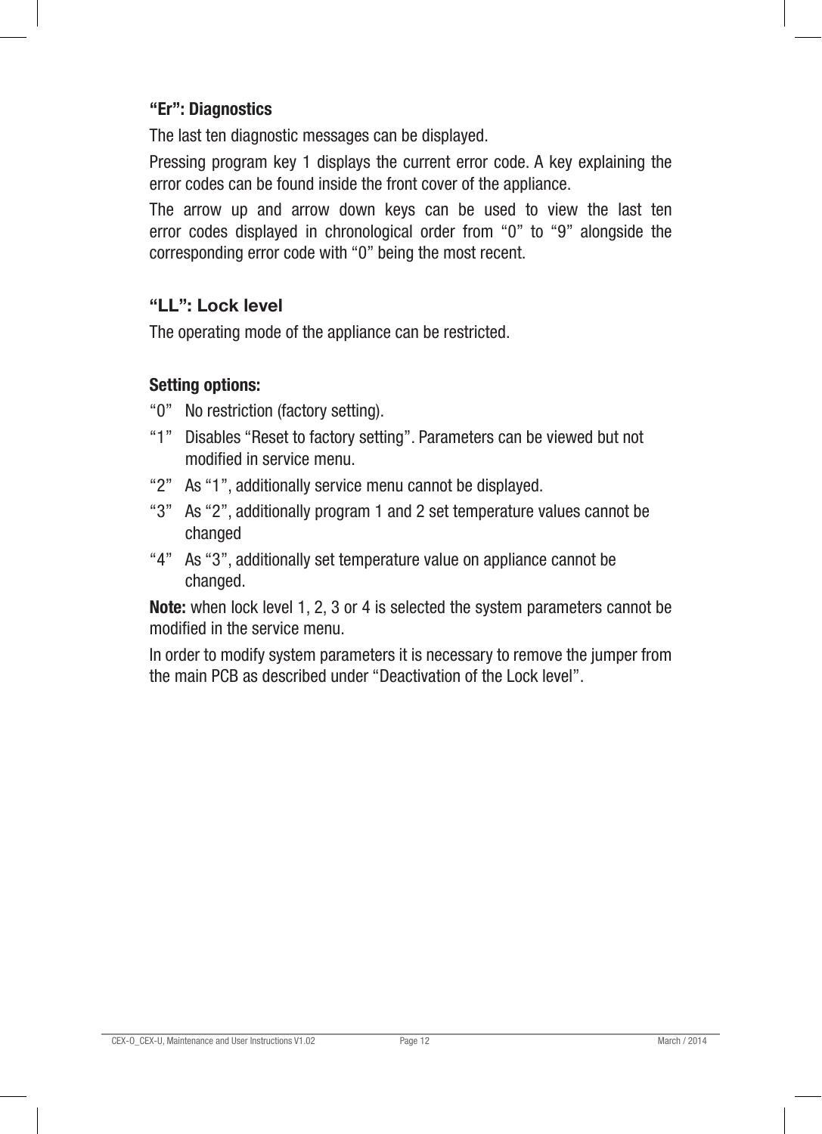# "Er": Diagnostics

The last ten diagnostic messages can be displayed.

Pressing program key 1 displays the current error code. A key explaining the error codes can be found inside the front cover of the appliance.

The arrow up and arrow down keys can be used to view the last ten error codes displayed in chronological order from "0" to "9" alongside the corresponding error code with "0" being the most recent.

# "LL": Lock level

The operating mode of the appliance can be restricted.

# Setting options:

- "0" No restriction (factory setting).
- "1" Disables "Reset to factory setting". Parameters can be viewed but not modified in service menu.
- "2" As "1", additionally service menu cannot be displayed.
- "3" As "2", additionally program 1 and 2 set temperature values cannot be changed
- "4" As "3", additionally set temperature value on appliance cannot be changed.

Note: when lock level 1, 2, 3 or 4 is selected the system parameters cannot be modified in the service menu.

In order to modify system parameters it is necessary to remove the jumper from the main PCB as described under "Deactivation of the Lock level".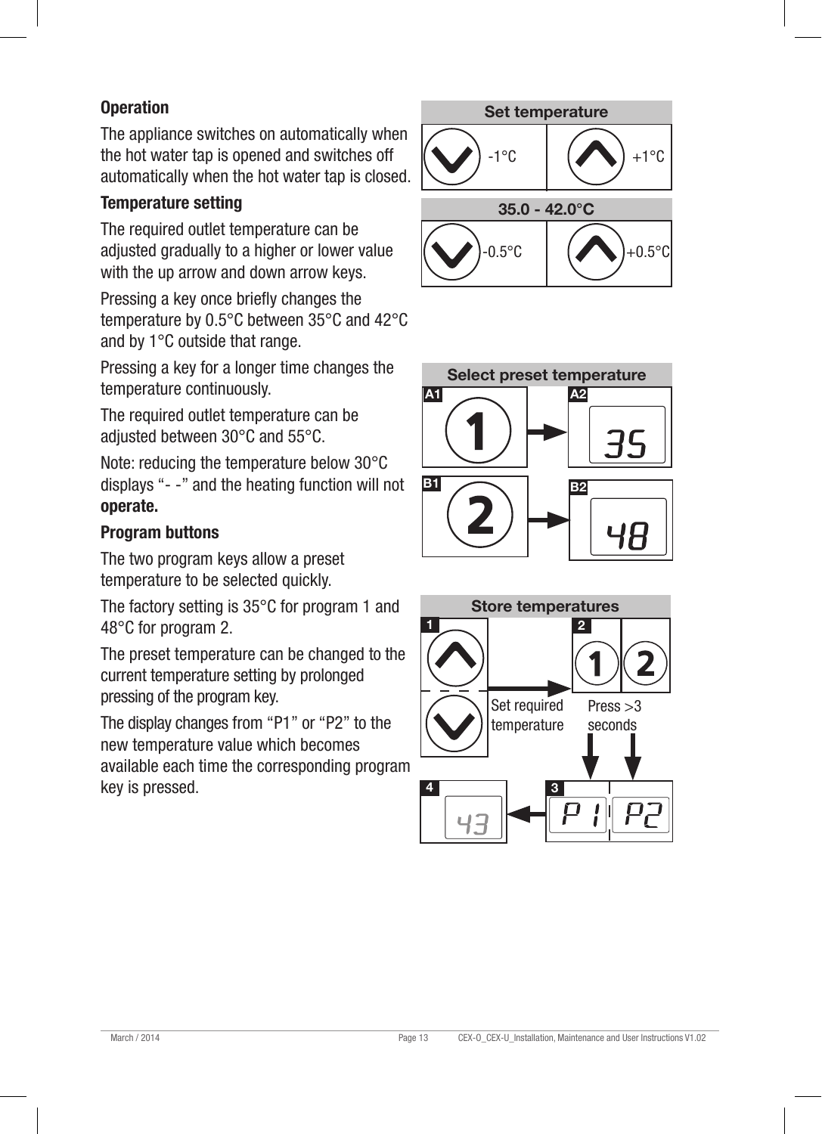# **Operation**

The appliance switches on automatically when the hot water tap is opened and switches off automatically when the hot water tap is closed.

# Temperature setting

The required outlet temperature can be adjusted gradually to a higher or lower value with the up arrow and down arrow keys.

Pressing a key once briefly changes the temperature by 0.5°C between 35°C and 42°C and by 1°C outside that range.

Pressing a key for a longer time changes the temperature continuously.

The required outlet temperature can be adjusted between 30°C and 55°C.

Note: reducing the temperature below 30°C displays "- -" and the heating function will not operate.

# Program buttons

The two program keys allow a preset temperature to be selected quickly.

The factory setting is 35°C for program 1 and 48°C for program 2.

The preset temperature can be changed to the current temperature setting by prolonged pressing of the program key.

The display changes from "P1" or "P2" to the new temperature value which becomes available each time the corresponding program key is pressed.





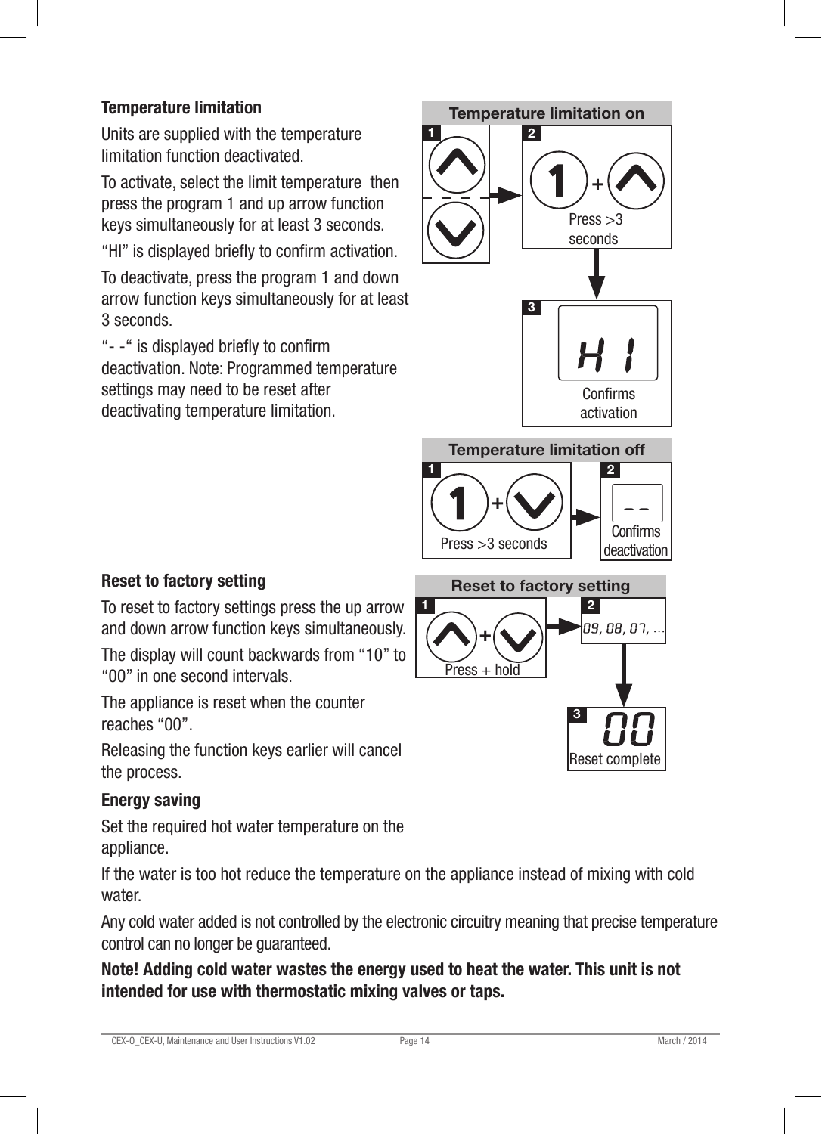# Temperature limitation

Units are supplied with the temperature limitation function deactivated.

To activate, select the limit temperature then press the program 1 and up arrow function keys simultaneously for at least 3 seconds.

"HI" is displayed briefly to confirm activation.

To deactivate, press the program 1 and down arrow function keys simultaneously for at least 3 seconds.

"- -" is displayed briefly to confirm deactivation. Note: Programmed temperature settings may need to be reset after deactivating temperature limitation.



# Reset to factory setting

To reset to factory settings press the up arrow and down arrow function keys simultaneously.

The display will count backwards from "10" to "00" in one second intervals.

The appliance is reset when the counter reaches "00".

Releasing the function keys earlier will cancel the process.

# Energy saving

Set the required hot water temperature on the appliance.

If the water is too hot reduce the temperature on the appliance instead of mixing with cold water.

Any cold water added is not controlled by the electronic circuitry meaning that precise temperature control can no longer be guaranteed.

Note! Adding cold water wastes the energy used to heat the water. This unit is not intended for use with thermostatic mixing valves or taps.

Reset complete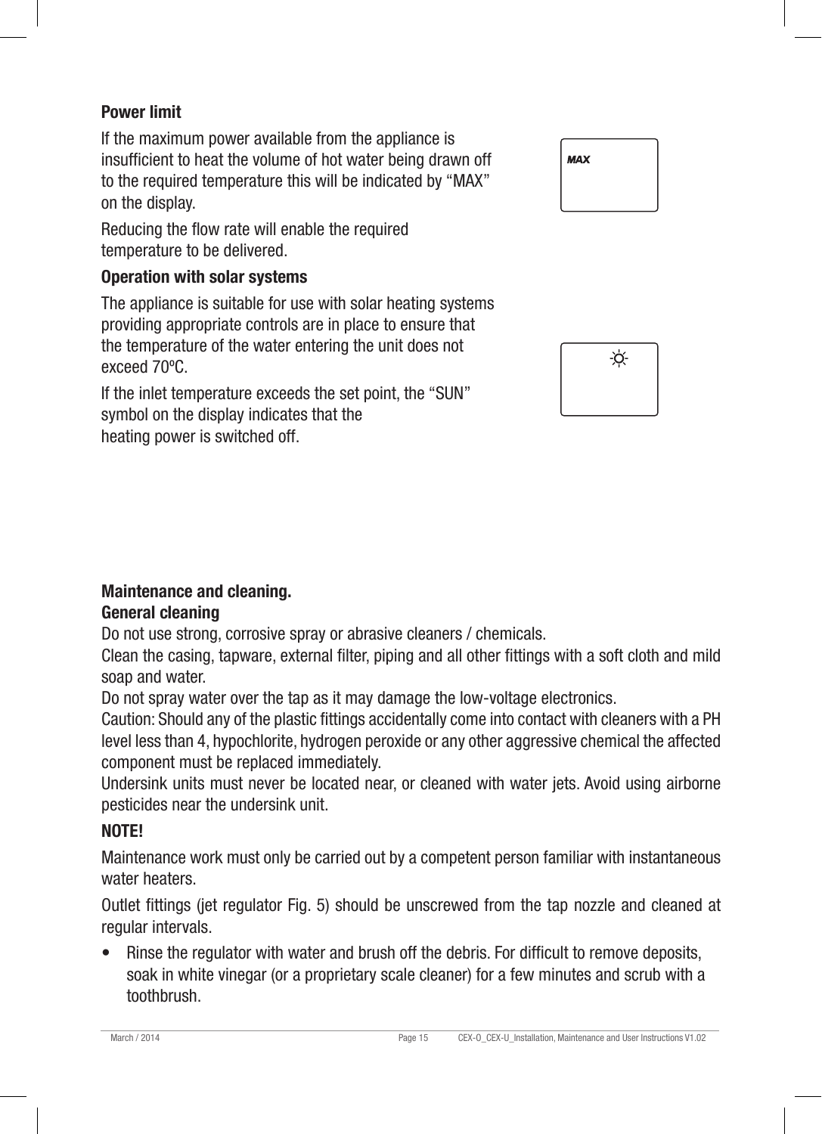March / 2014 Page 15 CEX-O\_CEX-U\_Installation, Maintenance and User Instructions V1.02

#### Power limit

If the maximum power available from the appliance is insufficient to heat the volume of hot water being drawn off to the required temperature this will be indicated by "MAX" on the display.

Reducing the flow rate will enable the required temperature to be delivered.

#### Operation with solar systems

The appliance is suitable for use with solar heating systems providing appropriate controls are in place to ensure that the temperature of the water entering the unit does not exceed 70ºC.

If the inlet temperature exceeds the set point, the "SUN" symbol on the display indicates that the heating power is switched off.

#### Maintenance and cleaning. General cleaning

Do not use strong, corrosive spray or abrasive cleaners / chemicals.

Clean the casing, tapware, external filter, piping and all other fittings with a soft cloth and mild soap and water.

Do not spray water over the tap as it may damage the low-voltage electronics.

Caution: Should any of the plastic fittings accidentally come into contact with cleaners with a PH level less than 4, hypochlorite, hydrogen peroxide or any other aggressive chemical the affected component must be replaced immediately.

Undersink units must never be located near, or cleaned with water jets. Avoid using airborne pesticides near the undersink unit.

#### NOTE!

Maintenance work must only be carried out by a competent person familiar with instantaneous water heaters.

Outlet fittings (jet regulator Fig. 5) should be unscrewed from the tap nozzle and cleaned at regular intervals.

• Rinse the regulator with water and brush off the debris. For difficult to remove deposits, soak in white vinegar (or a proprietary scale cleaner) for a few minutes and scrub with a toothbrush.



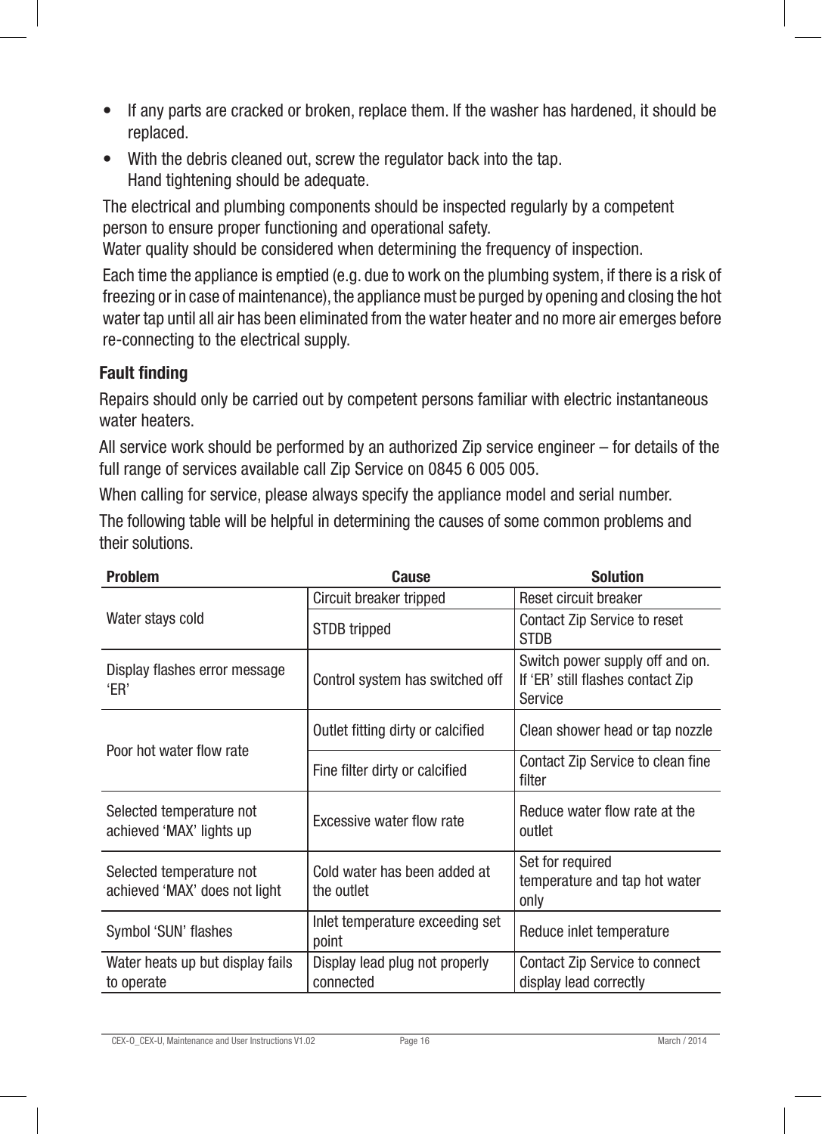- If any parts are cracked or broken, replace them. If the washer has hardened, it should be replaced.
- With the debris cleaned out, screw the regulator back into the tap. Hand tightening should be adequate.

The electrical and plumbing components should be inspected regularly by a competent person to ensure proper functioning and operational safety.

Water quality should be considered when determining the frequency of inspection.

Each time the appliance is emptied (e.g. due to work on the plumbing system, if there is a risk of freezing or in case of maintenance), the appliance must be purged by opening and closing the hot water tap until all air has been eliminated from the water heater and no more air emerges before re-connecting to the electrical supply.

# Fault finding

Repairs should only be carried out by competent persons familiar with electric instantaneous water heaters.

All service work should be performed by an authorized Zip service engineer – for details of the full range of services available call Zip Service on 0845 6 005 005.

When calling for service, please always specify the appliance model and serial number.

The following table will be helpful in determining the causes of some common problems and their solutions.

| <b>Problem</b>                                            | <b>Cause</b>                                | <b>Solution</b>                                                                 |
|-----------------------------------------------------------|---------------------------------------------|---------------------------------------------------------------------------------|
|                                                           | Circuit breaker tripped                     | Reset circuit breaker                                                           |
| Water stays cold                                          | STDB tripped                                | Contact Zip Service to reset<br><b>STDB</b>                                     |
| Display flashes error message<br>'ER'                     | Control system has switched off             | Switch power supply off and on.<br>If 'ER' still flashes contact Zip<br>Service |
| Poor hot water flow rate                                  | Outlet fitting dirty or calcified           | Clean shower head or tap nozzle                                                 |
|                                                           | Fine filter dirty or calcified              | Contact Zip Service to clean fine<br>filter                                     |
| Selected temperature not<br>achieved 'MAX' lights up      | Excessive water flow rate                   | Reduce water flow rate at the<br>outlet                                         |
| Selected temperature not<br>achieved 'MAX' does not light | Cold water has been added at<br>the outlet  | Set for required<br>temperature and tap hot water<br>only                       |
| Symbol 'SUN' flashes                                      | Inlet temperature exceeding set<br>point    | Reduce inlet temperature                                                        |
| Water heats up but display fails<br>to operate            | Display lead plug not properly<br>connected | Contact Zip Service to connect<br>display lead correctly                        |